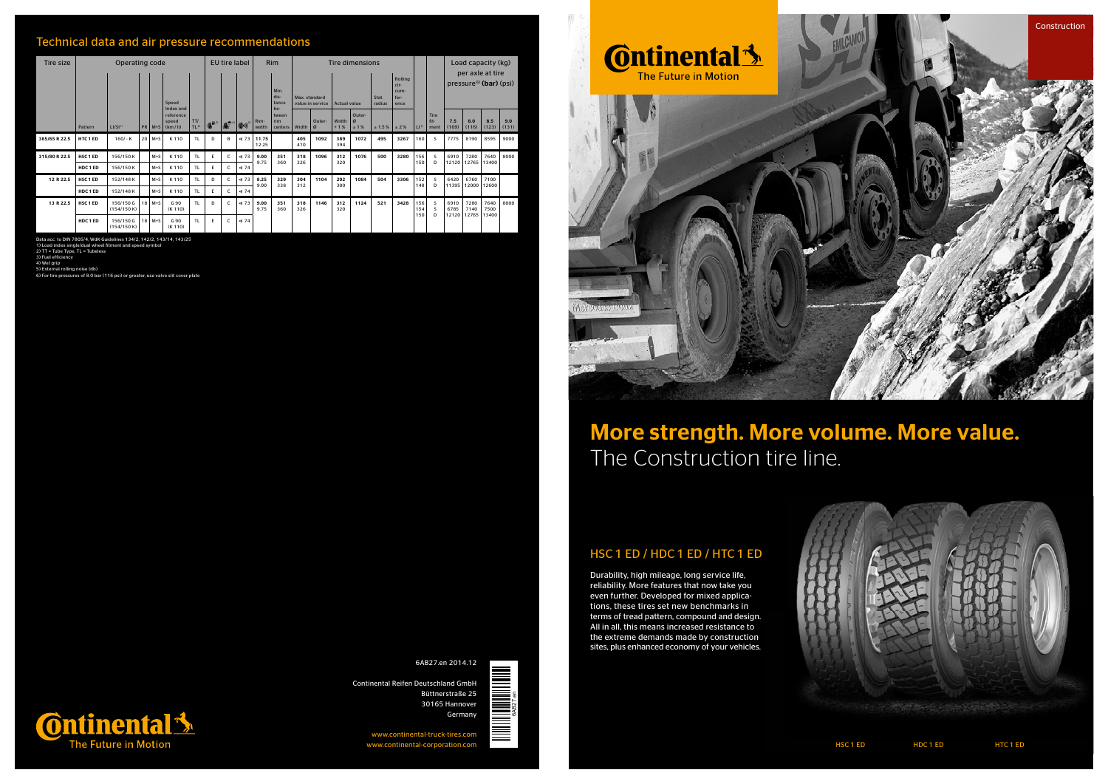# More strength. More volume. More value. The Construction tire line.

## HSC 1 ED / HDC 1 ED / HTC 1 ED

Durability, high mileage, long service life, reliability. More features that now take you even further. Developed for mixed applications, these tires set new benchmarks in terms of tread pattern, compound and design. All in all, this means increased resistance to the extreme demands made by construction sites, plus enhanced economy of your vehicles.







6AB27.en

<u>Manager</u>

#### 6AB27.en 2014.12

Continental Reifen Deutschland GmbH Büttnerstraße 25 30165 Hannover Germany

> www.continental-truck-tires.com www.continental-corporation.com



| Tire size     | Operating code      |                         |  |          | EU tire label                             |                        |                      | Rim       |          | <b>Tire dimensions</b> |                              |               |                  |                     |                           |                 | Load capacity (kg)<br>per axle at tire  |            |                      |              |              |                                   |              |
|---------------|---------------------|-------------------------|--|----------|-------------------------------------------|------------------------|----------------------|-----------|----------|------------------------|------------------------------|---------------|------------------|---------------------|---------------------------|-----------------|-----------------------------------------|------------|----------------------|--------------|--------------|-----------------------------------|--------------|
|               |                     |                         |  |          | Speed<br>Index and                        |                        |                      |           |          |                        | Min.<br>dis-<br>tance<br>be- | Max. standard | value in service | <b>Actual value</b> |                           | Stat.<br>radius | Rolling<br>cir-<br>cum-<br>fer-<br>ence |            |                      |              |              | presure <sup>6)</sup> (bar) (psi) |              |
|               | Pattern             | LI/SI <sup>1</sup>      |  |          | reference<br>speed<br>$PR$ $M+S$ $(km/h)$ | TT/<br>TL <sup>2</sup> | $\bigoplus^\text{m}$ | $2^{(4)}$ | (x)      | Rim-<br>width          | tween<br>rim<br>centers      | Width         | Outer-<br>Ø      | Width<br>$+1%$      | Outer-<br>$\alpha$<br>±1% | ± 1.5%          | ±2%                                     | $L1^{(1)}$ | Tire<br>fit-<br>ment | 7.5<br>(109) | 8.0<br>(116) | 8.5<br>(123)                      | 9.0<br>(131) |
| 385/65 R 22.5 | HTC1ED              | $160/- K$               |  | $20$ M+S | K110                                      | TL.                    | D                    | B.        | 0) 73    | 11.75<br>12.25         |                              | 405<br>410    | 1092             | 389<br>394          | 1072                      | 495             | 3267                                    | 160        | s                    | 7775         | 8190         | 8595                              | 9000         |
| 315/80 R 22.5 | HSC <sub>1</sub> ED | 156/150K                |  | $M+S$    | K110                                      | TL.                    | E                    | C         | $-0)$ 73 | 9.00                   | 351<br>360                   | 318           | 1096             | 312<br>320          | 1076                      | 500             | 3280                                    | 156        | s                    | 6910         | 7280         | 7640                              | 8000         |
|               | HDC1ED              | 156/150K                |  | $M+S$    | K110                                      | TL.                    | Ε                    | C         | 0) 74    | 9.75                   |                              | 326           |                  |                     |                           |                 |                                         | 150        | D                    | 12120        | 12765 13400  |                                   |              |
| 12 R 22.5     | HSC <sub>1</sub> ED | 152/148K                |  | $M+S$    | K110                                      | TL.                    | D                    | C         | 0) 73    | 8.25                   | 329                          | 304           | 1104             | 292                 | 1084                      | 504             | 3306                                    | 152        | s                    | 6420         | 6760         | 7100                              |              |
|               | HDC1ED              | 152/148K                |  | $M+S$    | K110                                      | TL.                    | Ε                    | C         | 0) 74    | 9.00                   | 338                          | 312           |                  | 300                 |                           |                 |                                         | 148        | D                    | 11395        |              | 12000 12600                       |              |
| 13 R 22.5     | HSC <sub>1ED</sub>  | 156/150 G<br>(154/150K) |  | $18$ M+S | G 90<br>(K 110)                           | TL.                    | D                    | C         | 0) 73    | 9.00<br>9.75           | 351<br>360                   | 318<br>326    | 1146             | 312<br>320          | 1124                      | 521             | 3428                                    | 156<br>154 | s<br><sub>S</sub>    | 6910<br>6785 | 7280<br>7140 | 7640<br>7500                      | 8000         |
|               | HDC1ED              | 156/150 G<br>(154/150K) |  | $18$ M+S | G 90<br>(K 110)                           | TL.                    | E                    | C         | $(0)$ 74 |                        |                              |               |                  |                     |                           |                 |                                         | 150        | D                    | 12120        | 12765        | 13400                             |              |

Data acc. to DIN 7805/4, WdK-Guidelines 134/2, 142/2, 143/14, 143/25

1) Load index single/dual wheel fitment and speed symbol 2) TT = Tube Type, TL = Tubeless

2) Fuel efficiency

4) Wet grip

5) External rolling noise (db) 6) For tire pressures of 8.0 bar (116 psi) or greater, use valve slit cover plate

#### Technical data and air pressure recommendations